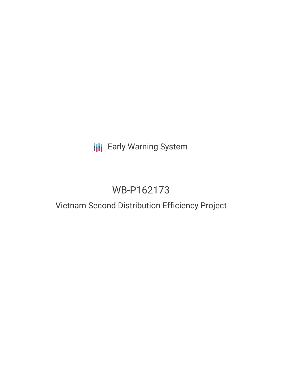## **III** Early Warning System

# WB-P162173

### Vietnam Second Distribution Efficiency Project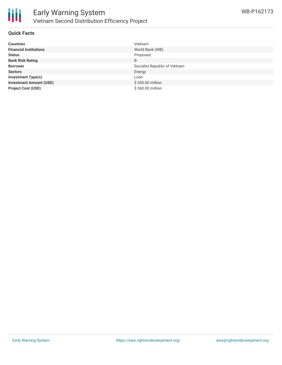

#### **Quick Facts**

| <b>Countries</b>               | Vietnam                       |
|--------------------------------|-------------------------------|
| <b>Financial Institutions</b>  | World Bank (WB)               |
| <b>Status</b>                  | Proposed                      |
| <b>Bank Risk Rating</b>        | B                             |
| <b>Borrower</b>                | Socialist Republic of Vietnam |
| <b>Sectors</b>                 | Energy                        |
| <b>Investment Type(s)</b>      | Loan                          |
| <b>Investment Amount (USD)</b> | \$350.00 million              |
| <b>Project Cost (USD)</b>      | \$560.00 million              |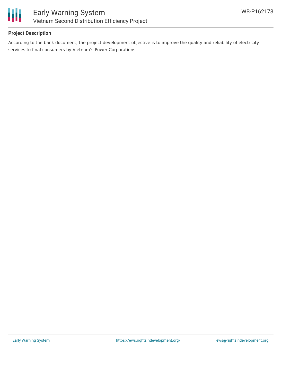

#### **Project Description**

According to the bank document, the project development objective is to improve the quality and reliability of electricity services to final consumers by Vietnam's Power Corporations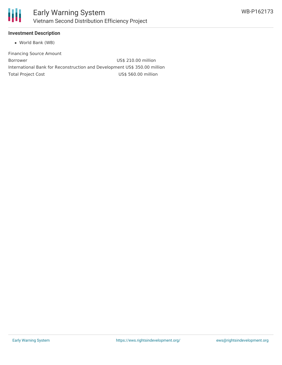

#### **Investment Description**

World Bank (WB)

Financing Source Amount Borrower US\$ 210.00 million International Bank for Reconstruction and Development US\$ 350.00 million Total Project Cost **US\$ 560.00 million**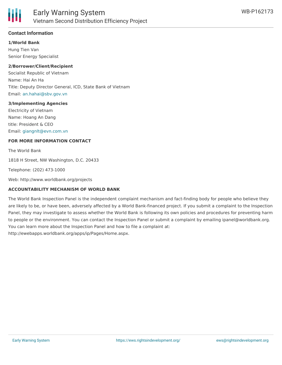

#### **Contact Information**

**1/World Bank**

Hung Tien Van Senior Energy Specialist

#### **2/Borrower/Client/Recipient**

Socialist Republic of Vietnam Name: Hai An Ha Title: Deputy Director General, ICD, State Bank of Vietnam Email: [an.hahai@sbv.gov.vn](mailto:an.hahai@sbv.gov.vn)

#### **3/Implementing Agencies**

Electricity of Vietnam Name: Hoang An Dang title: President & CEO Email: [giangnlt@evn.com.vn](mailto:giangnlt@evn.com.vn)

#### **FOR MORE INFORMATION CONTACT**

The World Bank

1818 H Street, NW Washington, D.C. 20433

Telephone: (202) 473-1000

Web: http://www.worldbank.org/projects

#### **ACCOUNTABILITY MECHANISM OF WORLD BANK**

The World Bank Inspection Panel is the independent complaint mechanism and fact-finding body for people who believe they are likely to be, or have been, adversely affected by a World Bank-financed project. If you submit a complaint to the Inspection Panel, they may investigate to assess whether the World Bank is following its own policies and procedures for preventing harm to people or the environment. You can contact the Inspection Panel or submit a complaint by emailing ipanel@worldbank.org. You can learn more about the Inspection Panel and how to file a complaint at: http://ewebapps.worldbank.org/apps/ip/Pages/Home.aspx.